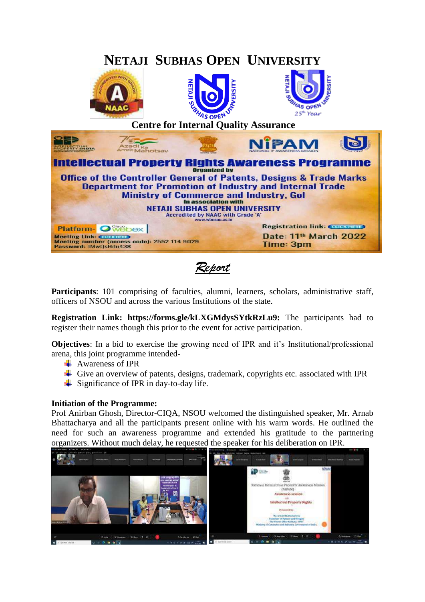

*Report*

Participants: 101 comprising of faculties, alumni, learners, scholars, administrative staff, officers of NSOU and across the various Institutions of the state.

**Registration Link: https://forms.gle/kLXGMdysSYtkRzLu9:** The participants had to register their names though this prior to the event for active participation.

**Objectives**: In a bid to exercise the growing need of IPR and it's Institutional/professional arena, this joint programme intended-

- $\triangleq$  Awareness of IPR
- Give an overview of patents, designs, trademark, copyrights etc. associated with IPR
- $\overline{\phantom{a}}$  Significance of IPR in day-to-day life.

## **Initiation of the Programme:**

Prof Anirban Ghosh, Director-CIQA, NSOU welcomed the distinguished speaker, Mr. Arnab Bhattacharya and all the participants present online with his warm words. He outlined the need for such an awareness programme and extended his gratitude to the partnering organizers. Without much delay, he requested the speaker for his deliberation on IPR.

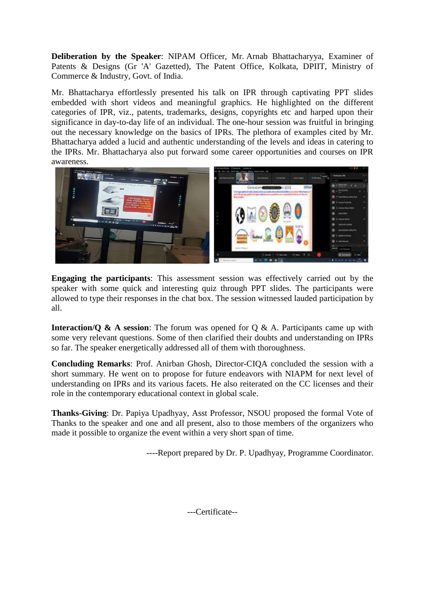**Deliberation by the Speaker**: NIPAM Officer, Mr. Arnab Bhattacharyya, Examiner of Patents & Designs (Gr 'A' Gazetted), The Patent Office, Kolkata, DPIIT, Ministry of Commerce & Industry, Govt. of India.

Mr. Bhattacharya effortlessly presented his talk on IPR through captivating PPT slides embedded with short videos and meaningful graphics. He highlighted on the different categories of IPR, viz., patents, trademarks, designs, copyrights etc and harped upon their significance in day-to-day life of an individual. The one-hour session was fruitful in bringing out the necessary knowledge on the basics of IPRs. The plethora of examples cited by Mr. Bhattacharya added a lucid and authentic understanding of the levels and ideas in catering to the IPRs. Mr. Bhattacharya also put forward some career opportunities and courses on IPR awareness.



**Engaging the participants**: This assessment session was effectively carried out by the speaker with some quick and interesting quiz through PPT slides. The participants were allowed to type their responses in the chat box. The session witnessed lauded participation by all.

**Interaction/Q & A session:** The forum was opened for Q & A. Participants came up with some very relevant questions. Some of then clarified their doubts and understanding on IPRs so far. The speaker energetically addressed all of them with thoroughness.

**Concluding Remarks**: Prof. Anirban Ghosh, Director-CIQA concluded the session with a short summary. He went on to propose for future endeavors with NIAPM for next level of understanding on IPRs and its various facets. He also reiterated on the CC licenses and their role in the contemporary educational context in global scale.

**Thanks-Giving**: Dr. Papiya Upadhyay, Asst Professor, NSOU proposed the formal Vote of Thanks to the speaker and one and all present, also to those members of the organizers who made it possible to organize the event within a very short span of time.

----Report prepared by Dr. P. Upadhyay, Programme Coordinator.

---Certificate--